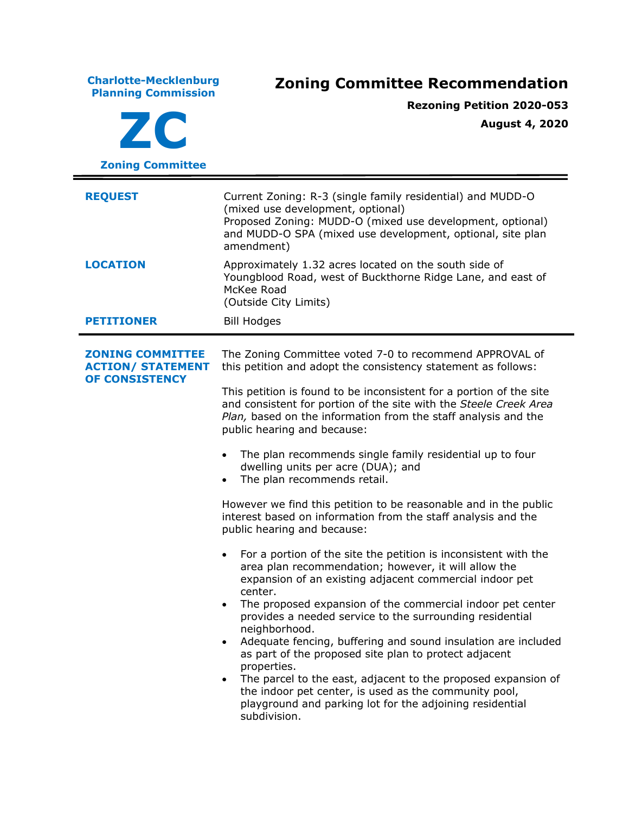**Charlotte-Mecklenburg Planning Commission Zoning Committee Recommendation ZC Zoning Committee Rezoning Petition 2020-053 August 4, 2020 REQUEST** Current Zoning: R-3 (single family residential) and MUDD-O (mixed use development, optional) Proposed Zoning: MUDD-O (mixed use development, optional) and MUDD-O SPA (mixed use development, optional, site plan amendment) **LOCATION** Approximately 1.32 acres located on the south side of Youngblood Road, west of Buckthorne Ridge Lane, and east of McKee Road (Outside City Limits) **PETITIONER** Bill Hodges **ZONING COMMITTEE ACTION/ STATEMENT OF CONSISTENCY** The Zoning Committee voted 7-0 to recommend APPROVAL of this petition and adopt the consistency statement as follows: This petition is found to be inconsistent for a portion of the site and consistent for portion of the site with the *Steele Creek Area Plan,* based on the information from the staff analysis and the public hearing and because: The plan recommends single family residential up to four dwelling units per acre (DUA); and The plan recommends retail. However we find this petition to be reasonable and in the public interest based on information from the staff analysis and the public hearing and because: • For a portion of the site the petition is inconsistent with the area plan recommendation; however, it will allow the expansion of an existing adjacent commercial indoor pet center. The proposed expansion of the commercial indoor pet center provides a needed service to the surrounding residential neighborhood. • Adequate fencing, buffering and sound insulation are included as part of the proposed site plan to protect adjacent properties. The parcel to the east, adjacent to the proposed expansion of the indoor pet center, is used as the community pool, playground and parking lot for the adjoining residential subdivision.